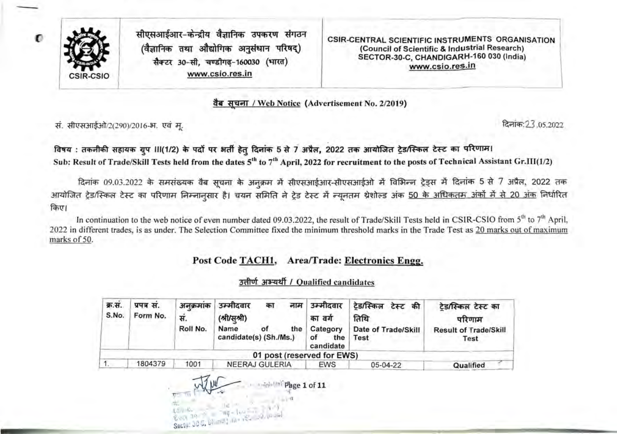

 $\mathbf{C}$ 

सीएसआईआर-केन्द्रीय वैज्ञानिक उपकरण संगठन  $(d\overline{})$ तानिक तथा औद्योगिक अनुसंधान परिषद्) सैक्टर 30-सी. चण्डीगढ-160030 (भारत) www.csio.res.in

CSIR-CENTRAL SCIENTIFIC INSTRUMENTS ORGANISATION (Council of Scientific & Industrial Research) SECTOR-30-C, CHANDIGARH-160 030 (India) www.csio.res.in

वैब सचना / Web Notice (Advertisement No. 2/2019)

*'ft.* 2(2 <sup>90</sup> 016-31. t:!Cf d'f.: '23 .05.2022

विषय : तकनीकी सहायक गुप III(1/2) के पदों पर अर्ती हेतु दिनांक 5 से 7 अप्रैल, 2022 तक आयोजित ट्रेड/स्किल टेस्ट का परिणाम। Sub: Result of Trade/Skill Tests held from the dates 5<sup>th</sup> to 7<sup>th</sup> April, 2022 for recruitment to the posts of Technical Assistant Gr.III(1/2)

दिनांक 09.03.2022 के समसंख्यक वैब सूचना के अनुक्रम में सीएसआईआर-सीएसआईओ में विभिन्न ट्रेड्स में दिनांक 5 से 7 अप्रैल, 2022 तक आयोजित ट्रेड/स्किल टेस्ट का परिणाम निम्नानुसार है। चयन समिति ने ट्रेड टेस्ट में न्यूनतम श्रेशोल्ड अंक <u>50 के अधिकतम अंकों में से 20 अंक</u> निर्धारित किए।

In continuation to the web notice of even number dated 09.03.2022, the result of Trade/Skill Tests held in CSIR-CSIO from  $5<sup>th</sup>$  to  $7<sup>th</sup>$  April, 2022 in different trades, is as under. The Selection Committee fixed the minimum threshold marks in the Trade Test as 20 marks out of maximum marks of 50.

### Post Code TACH1, Area/Trade: Electronics Engg.

#### उत्तीर्ण अभ्यर्थी / Qualified candidates

| क्र.सं.<br>S.No. | प्रपत्र सं.<br>Form No. | अनक्रमाक<br>स.<br>Roll No. | उम्मीदवार<br>नाम<br>का<br>(श्री/स्श्री)<br>Name<br>the<br>οf<br>candidate(s) (Sh./Ms.) | उम्मीदवार<br>का वर्ग<br>Category<br>of<br>the<br>candidate | ट्रेड/स्किल टेस्ट की<br>तिथि<br>Date of Trade/Skill<br><b>Test</b> | टेड/स्किल टेस्ट का<br>परिणाम<br><b>Result of Trade/Skill</b><br>Test |
|------------------|-------------------------|----------------------------|----------------------------------------------------------------------------------------|------------------------------------------------------------|--------------------------------------------------------------------|----------------------------------------------------------------------|
|                  |                         |                            | 01 post (reserved for EWS)                                                             |                                                            |                                                                    |                                                                      |
|                  | 1804379                 | 1001                       | NEERAJ GULERIA                                                                         | <b>EWS</b>                                                 | 05-04-22                                                           | Qualified                                                            |

Page 1 of 11 Sector 30 C. pt not into re-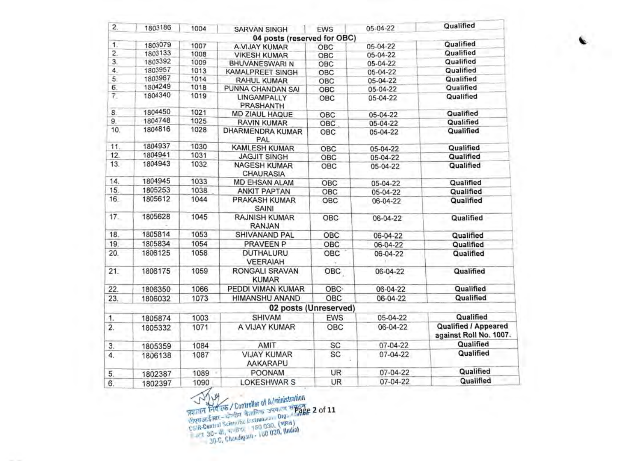| 2.               | 1803186 | 1004 | <b>SARVAN SINGH</b>                     | <b>EWS</b>            | 05-04-22       | Qualified                                             |
|------------------|---------|------|-----------------------------------------|-----------------------|----------------|-------------------------------------------------------|
|                  |         |      | 04 posts (reserved for OBC)             |                       |                |                                                       |
| 1.               | 1803079 | 1007 | A-VIJAY KUMAR                           | OBC                   | 05-04-22       | Qualified                                             |
| $\overline{2}$ . | 1803133 | 1008 | <b>VIKESH KUMAR</b>                     | OBC                   | 05-04-22       | Qualified                                             |
| 3.               | 1803392 | 1009 | <b>BHUVANESWARI N</b>                   | OBC                   | 05-04-22       | Qualified                                             |
| 4.               | 1803957 | 1013 | <b>KAMALPREET SINGH</b>                 | OBC                   | 05-04-22       | Qualified                                             |
| 5.               | 1803967 | 1014 | RAHUL KUMAR                             | OBC                   | 05-04-22       | Qualified                                             |
| 6.               | 1804249 | 1018 | PUNNA CHANDAN SAI                       | OBC                   | 05-04-22       | Qualified                                             |
| 7.               | 1804340 | 1019 | LINGAMPALLY<br><b>PRASHANTH</b>         | OBC                   | 05-04-22       | Qualified                                             |
| 8.               | 1804450 | 1021 | MD ZIAUL HAQUE                          | OBC                   | 05-04-22       | Qualified                                             |
| 9.               | 1804748 | 1025 | <b>RAVIN KUMAR</b>                      | OBC                   | 05-04-22       | Qualified                                             |
| 10.              | 1804816 | 1028 | DHARMENDRA KUMAR<br>PAL                 | OBC                   | 05-04-22       | Qualified                                             |
| 11.              | 1804937 | 1030 | <b>KAMLESH KUMAR</b>                    | OBC                   | 05-04-22       | Qualified                                             |
| 12.              | 1804941 | 1031 | <b>JAGJIT SINGH</b>                     | OBC                   | 05-04-22       | Qualified                                             |
| 13.              | 1804943 | 1032 | <b>NAGESH KUMAR</b><br><b>CHAURASIA</b> | OBC                   | 05-04-22       | Qualified                                             |
| 14.              | 1804945 | 1033 | <b>MD EHSAN ALAM</b>                    | OBC                   | 05-04-22       | Qualified                                             |
| 15.              | 1805253 | 1038 | <b>ANKIT PAPTAN</b>                     | OBC                   | 05-04-22       | Qualified                                             |
| 16.              | 1805612 | 1044 | PRAKASH KUMAR<br>SAINI                  | OBC                   | 06-04-22       | Qualified                                             |
| 17.              | 1805628 | 1045 | <b>RAJNISH KUMAR</b><br><b>RANJAN</b>   | OBC                   | 06-04-22       | Qualified                                             |
| 18.              | 1805814 | 1053 | SHIVANAND PAL                           | OBC                   | 06-04-22       | Qualified                                             |
| 19.              | 1805834 | 1054 | PRAVEEN P                               | OBC                   | 06-04-22       | Qualified                                             |
| 20.              | 1806125 | 1058 | <b>DUTHALURU</b><br><b>VEERAIAH</b>     | OBC                   | 06-04-22       | Qualified                                             |
| 21.              | 1806175 | 1059 | <b>RONGALI SRAVAN</b><br><b>KUMAR</b>   | OBC                   | 06-04-22       | Qualified                                             |
| 22.              | 1806350 | 1066 | PEDDI VIMAN KUMAR                       | <b>OBC</b>            | 06-04-22       | Qualified                                             |
| 23.              | 1806032 | 1073 | HIMANSHU ANAND                          | OBC                   | 06-04-22       | Qualified                                             |
|                  |         |      |                                         | 02 posts (Unreserved) |                |                                                       |
| 1.               | 1805874 | 1003 | SHIVAM                                  | <b>EWS</b>            | 05-04-22       | Qualified                                             |
| $\overline{2}$ . | 1805332 | 1071 | A VIJAY KUMAR                           | OBC                   | 06-04-22       | <b>Qualified / Appeared</b><br>against Roll No. 1007. |
| 3.               | 1805359 | 1084 | AMIT                                    | <b>SC</b>             | 07-04-22       | Qualified                                             |
| 4.               | 1806138 | 1087 | <b>VIJAY KUMAR</b><br><b>AAKARAPU</b>   | SC                    | 07-04-22       | Qualified                                             |
| 5.               | 1802387 | 1089 | <b>POONAM</b>                           | UR                    | 07-04-22       | Qualified                                             |
| 6.               | 1802397 | 1090 | <b>LOKESHWAR S</b>                      | UR                    | $07 - 04 - 22$ | Qualified                                             |

 $\frac{1}{2}$   $\frac{1}{2}$   $\frac{1}{2}$   $\frac{1}{2}$   $\frac{1}{2}$   $\frac{1}{2}$   $\frac{1}{2}$   $\frac{1}{2}$   $\frac{1}{2}$   $\frac{1}{2}$   $\frac{1}{2}$   $\frac{1}{2}$   $\frac{1}{2}$   $\frac{1}{2}$   $\frac{1}{2}$   $\frac{1}{2}$   $\frac{1}{2}$   $\frac{1}{2}$   $\frac{1}{2}$   $\frac{1}{2}$   $\frac{1}{2}$   $\frac{1}{2}$   $=$   $+23$   $-30$ ·C, Chandigath - 1 o ,. 2of11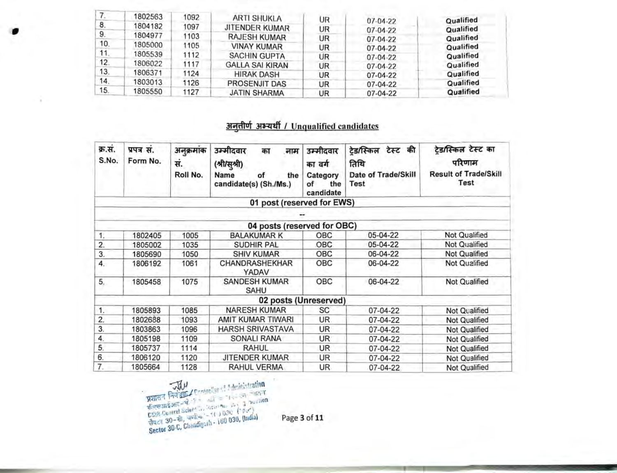|     | 1802563 | 1092 | <b>ARTI SHUKLA</b>     | UR | $07-04-22$     | Qualified |
|-----|---------|------|------------------------|----|----------------|-----------|
| 8.  | 1804182 | 1097 | JITENDER KUMAR         | UR | $07 - 04 - 22$ | Qualified |
| 9.  | 1804977 | 1103 | <b>RAJESH KUMAR</b>    | UR | $07 - 04 - 22$ | Qualified |
| 10. | 1805000 | 1105 | <b>VINAY KUMAR</b>     | UR | $07 - 04 - 22$ | Qualified |
| 11. | 1805539 | 1112 | <b>SACHIN GUPTA</b>    | UR | $07-04-22$     | Qualified |
| 12. | 1806022 | 1117 | <b>GALLA SAI KIRAN</b> | UR | $07 - 04 - 22$ | Qualified |
| 13. | 1806371 | 1124 | <b>HIRAK DASH</b>      | UR | 07-04-22       | Qualified |
| 14. | 1803013 | 1126 | PROSENJIT DAS          | UR | 07-04-22       | Qualified |
| 15. | 1805550 | 1127 | <b>JATIN SHARMA</b>    | UR | 07-04-22       | Qualified |

## अनुतीर्ण अभ्यर्थी / Unqualified candidates

| क्र.सं.<br>S.No. | प्रपत्र सं.<br>Form No. | अनुक्रमांक<br>सं. | उम्मीदवार<br>का<br>नाम<br>(श्री/सूश्री)     | उम्मीदवार<br>का वर्ग               | ट्रेड/स्किल टेस्ट की<br>तिथि | टेड/स्किल टेस्ट का<br>परिणाम         |
|------------------|-------------------------|-------------------|---------------------------------------------|------------------------------------|------------------------------|--------------------------------------|
|                  |                         | Roll No.          | Name<br>of<br>the<br>candidate(s) (Sh./Ms.) | Category<br>the<br>of<br>candidate | Date of Trade/Skill<br>Test  | <b>Result of Trade/Skill</b><br>Test |
|                  |                         |                   | 01 post (reserved for EWS)                  |                                    |                              |                                      |
|                  |                         |                   |                                             |                                    |                              |                                      |
|                  |                         |                   | 04 posts (reserved for OBC)                 |                                    |                              |                                      |
| 1.               | 1802405                 | 1005              | <b>BALAKUMAR K</b>                          | OBC                                | 05-04-22                     | Not Qualified                        |
| 2.               | 1805002                 | 1035              | <b>SUDHIR PAL</b>                           | <b>OBC</b>                         | 05-04-22                     | Not Qualified                        |
| 3.               | 1805690                 | 1050              | <b>SHIV KUMAR</b>                           | OBC                                | 06-04-22                     | <b>Not Qualified</b>                 |
| 4.               | 1806192                 | 1061              | CHANDRASHEKHAR<br>YADAV                     | OBC                                | 06-04-22                     | Not Qualified                        |
| 5.               | 1805458                 | 1075              | <b>SANDESH KUMAR</b><br>SAHU                | OBC                                | 06-04-22                     | Not Qualified                        |
|                  |                         |                   | 02 posts (Unreserved)                       |                                    |                              |                                      |
| 1.               | 1805893                 | 1085              | <b>NARESH KUMAR</b>                         | SC                                 | 07-04-22                     | Not Qualified                        |
| 2.               | 1802688                 | 1093              | AMIT KUMAR TIWARI                           | UR.                                | 07-04-22                     | Not Qualified                        |
| 3.               | 1803863                 | 1096              | <b>HARSH SRIVASTAVA</b>                     | UR                                 | 07-04-22                     | Not Qualified                        |
| 4.               | 1805198                 | 1109              | <b>SONALI RANA</b>                          | UR                                 | 07-04-22                     | Not Qualified                        |
| 5.               | 1805737                 | 1114              | <b>RAHUL</b>                                | UR                                 | 07-04-22                     | Not Qualified                        |
| 6.               | 1806120                 | 1120              | <b>JITENDER KUMAR</b>                       | UR                                 | 07-04-22                     | Not Qualified                        |
| 7.               | 1805664                 | 1128              | RAHUL VERMA                                 | UR.                                | 07-04-22                     | Not Qualified                        |

Page 3 of 11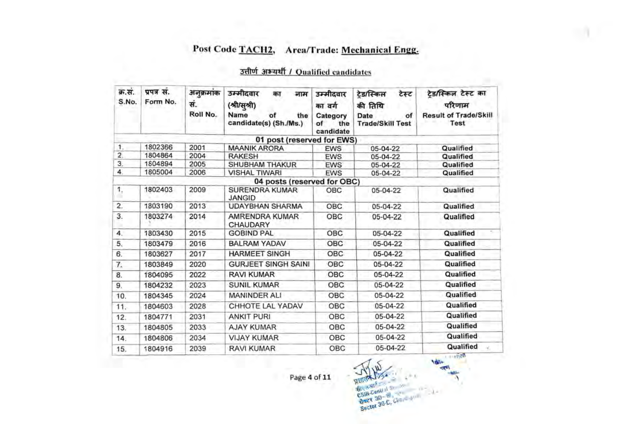# Post Code TACH2, Arca/Trade: Mechanical Engg.

## उत्तीर्ण अभ्यर्थी / Qualified candidates

| क्र.सं.<br>S.No. | प्रपत्र सं.<br>Form No. | अनुक्रमांक<br>सं.<br>Roll No. | उम्मीदवार<br>नाम<br>का<br>(श्री/सुश्री)<br>Name<br>of<br>the<br>candidate(s) (Sh./Ms.) | उम्मीदवार<br>का वर्ग<br>Category<br>οf<br>the<br>candidate | टेड/स्किल<br>टेस्ट<br>की तिथि<br>Date<br>of<br><b>Trade/Skill Test</b> | टेड/स्किल टेस्ट का<br>परिणाम<br><b>Result of Trade/Skill</b><br>Test |
|------------------|-------------------------|-------------------------------|----------------------------------------------------------------------------------------|------------------------------------------------------------|------------------------------------------------------------------------|----------------------------------------------------------------------|
|                  |                         |                               | 01 post (reserved for EWS)                                                             |                                                            |                                                                        |                                                                      |
| 1.               | 1802366                 | 2001                          | <b>MAANIK ARORA</b>                                                                    | <b>EWS</b>                                                 | 05-04-22                                                               | Qualified                                                            |
| $\overline{2}$ . | 1804864                 | 2004                          | <b>RAKESH</b>                                                                          | <b>EWS</b>                                                 | 05-04-22                                                               | Qualified                                                            |
| 3.               | 1804894                 | 2005                          | <b>SHUBHAM THAKUR</b>                                                                  | <b>EWS</b>                                                 | 05-04-22                                                               | Qualified                                                            |
| 4.               | 1805004                 | 2006                          | <b>VISHAL TIWARI</b>                                                                   | <b>EWS</b>                                                 | 05-04-22                                                               | Qualified                                                            |
|                  |                         |                               | 04 posts (reserved for OBC)                                                            |                                                            |                                                                        |                                                                      |
| 1,<br>٠          | 1802403                 | 2009                          | <b>SURENDRA KUMAR</b><br><b>JANGID</b>                                                 | OBC                                                        | 05-04-22                                                               | Qualified                                                            |
| $\overline{2}$ . | 1803190                 | 2013                          | <b>UDAYBHAN SHARMA</b>                                                                 | OBC                                                        | 05-04-22                                                               | Qualified                                                            |
| 3.               | 1803274                 | 2014                          | AMRENDRA KUMAR<br>CHAUDARY                                                             | OBC                                                        | 05-04-22                                                               | Qualified                                                            |
| $\overline{4}$ . | 1803430                 | 2015                          | <b>GOBIND PAL</b>                                                                      | <b>OBC</b>                                                 | 05-04-22                                                               | Qualified                                                            |
| 5.               | 1803479                 | 2016                          | <b>BALRAM YADAV</b>                                                                    | <b>OBC</b>                                                 | 05-04-22                                                               | Qualified                                                            |
| 6.               | 1803627                 | 2017                          | <b>HARMEET SINGH</b>                                                                   | OBC                                                        | 05-04-22                                                               | Qualified                                                            |
| 7.               | 1803849                 | 2020                          | <b>GURJEET SINGH SAINI</b>                                                             | OBC                                                        | 05-04-22                                                               | Qualified                                                            |
| 8.               | 1804095                 | 2022                          | <b>RAVI KUMAR</b>                                                                      | OBC                                                        | 05-04-22                                                               | Qualified                                                            |
| 9.               | 1804232                 | 2023                          | <b>SUNIL KUMAR</b>                                                                     | OBC                                                        | 05-04-22                                                               | Qualified                                                            |
| 10.              | 1804345                 | 2024                          | <b>MANINDER ALI</b>                                                                    | OBC                                                        | 05-04-22                                                               | Qualified                                                            |
| 11.              | 1804603                 | 2028                          | CHHOTE LAL YADAV                                                                       | OBC                                                        | 05-04-22                                                               | Qualified                                                            |
| 12.              | 1804771                 | 2031                          | <b>ANKIT PURI</b>                                                                      | OBC                                                        | 05-04-22                                                               | Qualified                                                            |
| 13.              | 1804805                 | 2033                          | <b>AJAY KUMAR</b>                                                                      | OBC                                                        | 05-04-22                                                               | Qualified                                                            |
| 14.              | 1804806                 | 2034                          | <b>VIJAY KUMAR</b>                                                                     | OBC                                                        | 05-04-22                                                               | Qualified                                                            |
| 15.              | 1804916                 | 2039                          | <b>RAVI KUMAR</b>                                                                      | OBC                                                        | 05-04-22                                                               | Qualified                                                            |

Sector 30-C, Charles on  $\lambda$ 

**MAI**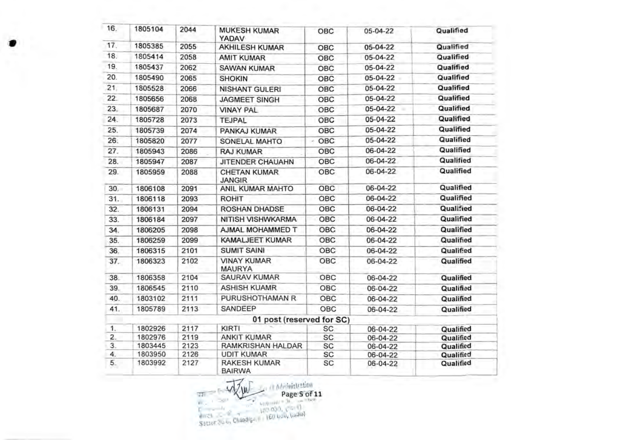| 16. | 1805104 | 2044 | <b>MUKESH KUMAR</b><br><b>YADAV</b>  | OBC        | 05-04-22 | Qualified |
|-----|---------|------|--------------------------------------|------------|----------|-----------|
| 17. | 1805385 | 2055 | <b>AKHILESH KUMAR</b>                | <b>OBC</b> | 05-04-22 | Qualified |
| 18. | 1805414 | 2058 | <b>AMIT KUMAR</b>                    | OBC        | 05-04-22 | Qualified |
| 19. | 1805437 | 2062 | <b>SAWAN KUMAR</b>                   | OBC        | 05-04-22 | Qualified |
| 20. | 1805490 | 2065 | <b>SHOKIN</b>                        | OBC        | 05-04-22 | Qualified |
| 21. | 1805528 | 2066 | <b>NISHANT GULERI</b>                | OBC        | 05-04-22 | Qualified |
| 22. | 1805656 | 2068 | <b>JAGMEET SINGH</b>                 | OBC        | 05-04-22 | Qualified |
| 23. | 1805687 | 2070 | <b>VINAY PAL</b>                     | OBC        | 05-04-22 | Qualified |
| 24. | 1805728 | 2073 | TEJPAL                               | OBC        | 05-04-22 | Qualified |
| 25. | 1805739 | 2074 | PANKAJ KUMAR                         | OBC        | 05-04-22 | Qualified |
| 26. | 1805820 | 2077 | SONELAL MAHTO                        | OBC<br>÷   | 05-04-22 | Qualified |
| 27. | 1805943 | 2086 | <b>RAJ KUMAR</b>                     | OBC        | 06-04-22 | Qualified |
| 28. | 1805947 | 2087 | JITENDER CHAUAHN                     | OBC        | 06-04-22 | Qualified |
| 29. | 1805959 | 2088 | <b>CHETAN KUMAR</b><br><b>JANGIR</b> | OBC        | 06-04-22 | Qualified |
| 30. | 1806108 | 2091 | ANIL KUMAR MAHTO                     | OBC        | 06-04-22 | Qualified |
| 31. | 1806118 | 2093 | <b>ROHIT</b>                         | OBC        | 06-04-22 | Qualified |
| 32. | 1806131 | 2094 | <b>ROSHAN DHADSE</b>                 | OBC        | 06-04-22 | Qualified |
| 33. | 1806184 | 2097 | <b>NITISH VISHWKARMA</b>             | OBC        | 06-04-22 | Qualified |
| 34. | 1806205 | 2098 | AJMAL MOHAMMED T                     | OBC        | 06-04-22 | Qualified |
| 35. | 1806259 | 2099 | <b>KAMALJEET KUMAR</b>               | OBC        | 06-04-22 | Qualified |
| 36. | 1806315 | 2101 | <b>SUMIT SAINI</b>                   | OBC        | 06-04-22 | Qualified |
| 37. | 1806323 | 2102 | <b>VINAY KUMAR</b><br><b>MAURYA</b>  | OBC        | 06-04-22 | Qualified |
| 38. | 1806358 | 2104 | <b>SAURAV KUMAR</b>                  | OBC        | 06-04-22 | Qualified |
| 39. | 1806545 | 2110 | <b>ASHISH KUAMR</b>                  | OBC        | 06-04-22 | Qualified |
| 40. | 1803102 | 2111 | PURUSHOTHAMAN R                      | OBC        | 06-04-22 | Qualified |
| 41. | 1805789 | 2113 | SANDEEP                              | <b>OBC</b> | 06-04-22 | Qualified |
|     |         |      | 01 post (reserved for SC)            |            |          |           |
| 1.  | 1802926 | 2117 | KIRTI                                | SC         | 06-04-22 | Qualified |
| 2.  | 1802976 | 2119 | <b>ANKIT KUMAR</b>                   | SC         | 06-04-22 | Qualified |
| 3.  | 1803445 | 2123 | RAMKRISHAN HALDAR                    | <b>SC</b>  | 06-04-22 | Qualified |
| 4.  | 1803950 | 2126 | <b>UDIT KUMAR</b>                    | SC         | 06-04-22 | Qualified |
| 5.  | 1803992 | 2127 | <b>RAKESH KUMAR</b><br><b>BAIRWA</b> | SC         | 06-04-22 | Qualified |

 $\begin{picture}(180,10) \put(0,0){\line(1,0){10}} \put(0,0){\line(1,0){10}} \put(0,0){\line(1,0){10}} \put(0,0){\line(1,0){10}} \put(0,0){\line(1,0){10}} \put(0,0){\line(1,0){10}} \put(0,0){\line(1,0){10}} \put(0,0){\line(1,0){10}} \put(0,0){\line(1,0){10}} \put(0,0){\line(1,0){10}} \put(0,0){\line(1,0){10}} \put(0,0){\line(1,0){10}} \put(0$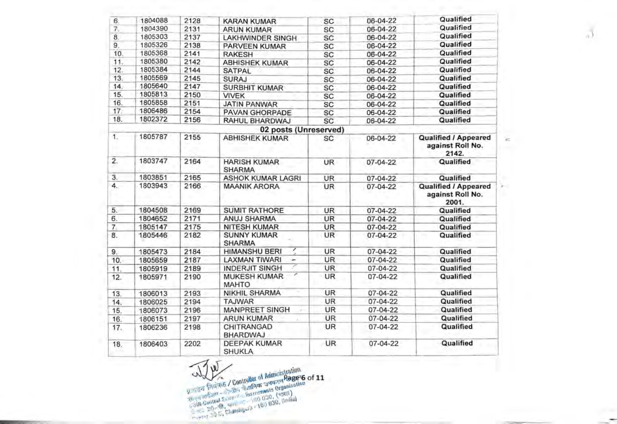| 6.             | 1804088 | 2128 | <b>KARAN KUMAR</b>                   | <b>SC</b> | 06-04-22       | Qualified                                                |
|----------------|---------|------|--------------------------------------|-----------|----------------|----------------------------------------------------------|
| 7.             | 1804390 | 2131 | <b>ARUN KUMAR</b>                    | SC        | 06-04-22       | Qualified                                                |
| 8.             | 1805303 | 2137 | <b>LAKHWINDER SINGH</b>              | SC        | 06-04-22       | Qualified                                                |
| 9.             | 1805326 | 2138 | PARVEEN KUMAR                        | SC        | 06-04-22       | Qualified                                                |
| 10.            | 1805368 | 2141 | <b>RAKESH</b>                        | SC        | 06-04-22       | Qualified                                                |
| 11.            | 1805380 | 2142 | <b>ABHISHEK KUMAR</b>                | SC        | 06-04-22       | Qualified                                                |
| 12.            | 1805384 | 2144 | <b>SATPAL</b>                        | SC        | 06-04-22       | Qualified                                                |
| 13.            | 1805569 | 2145 | <b>SURAJ</b>                         | SC        | 06-04-22       | Qualified                                                |
| 14.            | 1805640 | 2147 | <b>SURBHIT KUMAR</b>                 | SC        | 06-04-22       | Qualified                                                |
| 15.            | 1805813 | 2150 | <b>VIVEK</b>                         | SC        | 06-04-22       | Qualified                                                |
| 16.            | 1805858 | 2151 | <b>JATIN PANWAR</b>                  | SC        | 06-04-22       | Qualified                                                |
| 17.            | 1806486 | 2154 | <b>PAVAN GHORPADE</b>                | SC        | 06-04-22       | Qualified                                                |
| 18.            | 1802372 | 2156 | RAHUL BHARDWAJ                       | SC        | 06-04-22       | Qualified                                                |
|                |         |      | 02 posts (Unreserved)                |           |                |                                                          |
| $\mathbf{1}$ . | 1805787 | 2155 | <b>ABHISHEK KUMAR</b>                | SC        | 06-04-22       | <b>Qualified / Appeared</b><br>against Roll No.<br>2142. |
| $\overline{2}$ | 1803747 | 2164 | <b>HARISH KUMAR</b><br><b>SHARMA</b> | UR        | 07-04-22       | Qualified                                                |
| 3.             | 1803851 | 2165 | <b>ASHOK KUMAR LAGRI</b>             | <b>UR</b> | 07-04-22       | Qualified                                                |
| 4.             | 1803943 | 2166 | <b>MAANIK ARORA</b>                  | UR        | 07-04-22       | <b>Qualified / Appeared</b><br>against Roll No.<br>2001. |
| 5.             | 1804508 | 2169 | <b>SUMIT RATHORE</b>                 | <b>UR</b> | 07-04-22       | Qualified                                                |
| б.             | 1804652 | 2171 | <b>ANUJ SHARMA</b>                   | <b>UR</b> | 07-04-22       | Qualified                                                |
| 7.             | 1805147 | 2175 | <b>NITESH KUMAR</b>                  | <b>UR</b> | 07-04-22       | Qualified                                                |
| 8.             | 1805446 | 2182 | <b>SUNNY KUMAR</b><br><b>SHARMA</b>  | <b>UR</b> | 07-04-22       | Qualified                                                |
| 9.             | 1805473 | 2184 | <b>HIMANSHU BERI</b>                 | <b>UR</b> | $07 - 04 - 22$ | Qualified                                                |
| 10.            | 1805659 | 2187 | <b>LAXMAN TIWARI</b><br>۰            | UR        | 07-04-22       | Qualified                                                |
| 11.            | 1805919 | 2189 | <b>INDERJIT SINGH</b>                | <b>UR</b> | 07-04-22       | Qualified                                                |
| 12.            | 1805971 | 2190 | <b>MUKESH KUMAR</b><br><b>MAHTO</b>  | <b>UR</b> | 07-04-22       | Qualified                                                |
| 13.            | 1806013 | 2193 | NIKHIL SHARMA                        | <b>UR</b> | 07-04-22       | Qualified                                                |
| 14.            | 1806025 | 2194 | <b>TAJWAR</b>                        | UR        | 07-04-22       | Qualified                                                |
| 15.            | 1806073 | 2196 | MANPREET SINGH                       | UR        | 07-04-22       | Qualified                                                |
| 16.            | 1806151 | 2197 | <b>ARUN KUMAR</b>                    | <b>UR</b> | 07-04-22       | Qualified                                                |
| 17.            | 1806236 | 2198 | CHITRANGAD<br><b>BHARDWAJ</b>        | UR        | 07-04-22       | Qualified                                                |
| 18.            | 1806403 | 2202 | <b>DEEPAK KUMAR</b><br><b>SHUKLA</b> | UR.       | 07-04-22       | Qualified                                                |

٠  $n.$ 

 $\sim$ 

亚 We have a controllar of Administration<br>Report Factor / Controllar of Administration<br>Report of Science Controllar of Control<br>Second Science Control 030, (1986)<br>Second 30-30, Changing 160, 030, Indial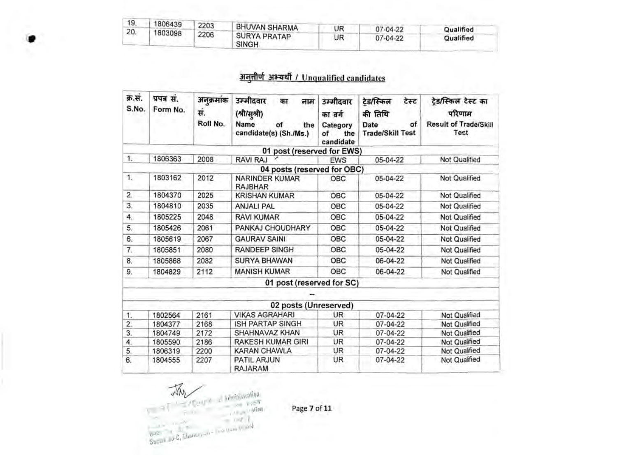| 19. | 1806439 |      |                                     |    |          |           |
|-----|---------|------|-------------------------------------|----|----------|-----------|
| 20  |         | 2203 | <b>BHUVAN SHARMA</b>                | UR | 07-04-22 | Qualified |
|     | 1803098 | 2206 | <b>SURYA PRATAP</b><br><b>SINGH</b> | UR | 07-04-22 | Qualified |

## अनुतीर्ण अभ्यर्थी / Unqualified candidates

| क्र.सं.<br>S.No. | प्रपत्र सं.<br>Form No. | अनुक्रमांक<br>सं.<br>Roll No. | उम्मीदवार<br>का<br>नाम<br>(श्री/सुश्री)<br>Name<br>of<br>the<br>candidate(s) (Sh./Ms.) | उम्मीदवार<br>का वर्ग<br>Category<br>of<br>the<br>candidate | टेड/स्किल<br>टेस्ट<br>की तिथि<br>of<br>Date<br><b>Trade/Skill Test</b> | टेड/स्किल टेस्ट का<br>परिणाम<br><b>Result of Trade/Skill</b><br>Test |
|------------------|-------------------------|-------------------------------|----------------------------------------------------------------------------------------|------------------------------------------------------------|------------------------------------------------------------------------|----------------------------------------------------------------------|
|                  |                         |                               | 01 post (reserved for EWS)                                                             |                                                            |                                                                        |                                                                      |
| 1.               | 1806363                 | 2008                          | RAVI RAJ                                                                               | <b>EWS</b>                                                 | 05-04-22                                                               | Not Qualified                                                        |
|                  |                         |                               | 04 posts (reserved for OBC)                                                            |                                                            |                                                                        |                                                                      |
| 1.               | 1803162                 | 2012                          | <b>NARINDER KUMAR</b><br><b>RAJBHAR</b>                                                | <b>OBC</b>                                                 | 05-04-22                                                               | Not Qualified                                                        |
| 2.               | 1804370                 | 2025                          | <b>KRISHAN KUMAR</b>                                                                   | OBC                                                        | 05-04-22                                                               | Not Qualified                                                        |
| 3.               | 1804810                 | 2035                          | <b>ANJALI PAL</b>                                                                      | OBC                                                        | 05-04-22                                                               | <b>Not Qualified</b>                                                 |
| 4.               | 1805225                 | 2048                          | <b>RAVI KUMAR</b>                                                                      | OBC                                                        | 05-04-22                                                               | Not Qualified                                                        |
| 5.               | 1805426                 | 2061                          | PANKAJ CHOUDHARY                                                                       | OBC                                                        | 05-04-22                                                               | Not Qualified                                                        |
| 6.               | 1805619                 | 2067                          | <b>GAURAV SAINI</b>                                                                    | OBC                                                        | 05-04-22                                                               | <b>Not Qualified</b>                                                 |
| 7.               | 1805851                 | 2080                          | <b>RANDEEP SINGH</b>                                                                   | OBC                                                        | 05-04-22                                                               | Not Qualified                                                        |
| 8.               | 1805868                 | 2082                          | <b>SURYA BHAWAN</b>                                                                    | OBC                                                        | 06-04-22                                                               | Not Qualified                                                        |
| 9.               | 1804829                 | 2112                          | <b>MANISH KUMAR</b>                                                                    | OBC                                                        | 06-04-22                                                               | Not Qualified                                                        |
|                  |                         |                               | 01 post (reserved for SC)                                                              |                                                            |                                                                        |                                                                      |
|                  |                         |                               |                                                                                        |                                                            |                                                                        |                                                                      |
|                  |                         |                               | 02 posts (Unreserved)                                                                  |                                                            |                                                                        |                                                                      |
| 1.               | 1802564                 | 2161                          | <b>VIKAS AGRAHARI</b>                                                                  | UR.                                                        | 07-04-22                                                               | Not Qualified                                                        |
| $\overline{2}$ . | 1804377                 | 2168                          | <b>ISH PARTAP SINGH</b>                                                                | <b>UR</b>                                                  | 07-04-22                                                               | Not Qualified                                                        |
| 3.               | 1804749                 | 2172                          | SHAHNAVAZ KHAN                                                                         | UR                                                         | 07-04-22                                                               | Not Qualified                                                        |
| 4.               | 1805590                 | 2186                          | <b>RAKESH KUMAR GIRI</b>                                                               | UR                                                         | 07-04-22                                                               | Not Qualified                                                        |
| 5.               | 1806319                 | 2200                          | <b>KARAN CHAWLA</b>                                                                    | UR                                                         | 07-04-22                                                               | Not Qualified                                                        |
| 6.               | 1804555                 | 2207                          | PATIL ARJUN<br><b>RAJARAM</b>                                                          | UR.                                                        | 07-04-22                                                               | Not Qualified                                                        |

 $\begin{picture}(180,10) \put(0,0){\line(1,0){100}} \put(0,0){\line(1,0){100}} \put(0,0){\line(1,0){100}} \put(0,0){\line(1,0){100}} \put(0,0){\line(1,0){100}} \put(0,0){\line(1,0){100}} \put(0,0){\line(1,0){100}} \put(0,0){\line(1,0){100}} \put(0,0){\line(1,0){100}} \put(0,0){\line(1,0){100}} \put(0,0){\line(1,0){100}} \put(0,0){\line($ July

Page 7 of 11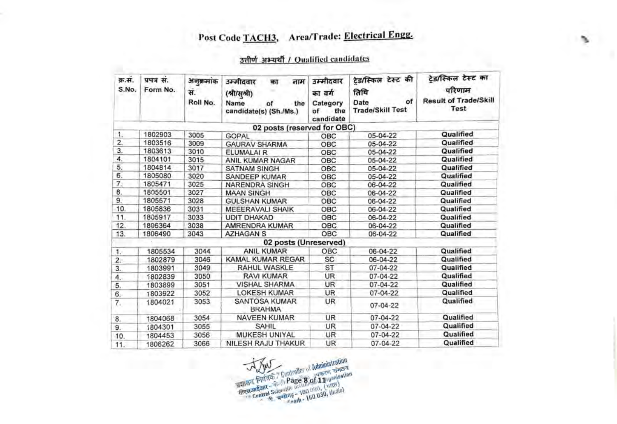# Post Code TACH3, Area/Trade: Electrical Engg.

### उत्तीर्ण अभ्यर्थी / Qualified candidates

| क्र.सं.<br>S.No. | प्रपत्र सं.<br>Form No. | अनुक्रमांक<br>स.<br>Roll No. | उम्मीदवार<br>नाम<br>का<br>(श्री/सुश्री)<br>Name<br>the<br>of<br>candidate(s) (Sh./Ms.) | उम्मीदवार<br>का वर्ग<br>Category<br>the<br>of<br>candidate | ट्रेड/स्किल टेस्ट की<br>तिथि<br>of<br>Date<br><b>Trade/Skill Test</b> | टेड/स्किल टेस्ट का<br>परिणाम<br><b>Result of Trade/Skill</b><br>Test |
|------------------|-------------------------|------------------------------|----------------------------------------------------------------------------------------|------------------------------------------------------------|-----------------------------------------------------------------------|----------------------------------------------------------------------|
|                  |                         |                              | 02 posts (reserved for OBC)                                                            |                                                            |                                                                       |                                                                      |
| $\mathbf{1}$     | 1802903                 | 3005                         | <b>GOPAL</b>                                                                           | OBC                                                        | 05-04-22                                                              | Qualified                                                            |
| 2.               | 1803516                 | 3009                         | <b>GAURAV SHARMA</b>                                                                   | OBC                                                        | 05-04-22                                                              | Qualified                                                            |
| 3.               | 1803613                 | 3010                         | ELUMALAI R                                                                             | OBC                                                        | 05-04-22                                                              | Qualified                                                            |
| 4.               | 1804101                 | 3015                         | ANIL KUMAR NAGAR                                                                       | OBC                                                        | 05-04-22                                                              | Qualified                                                            |
| 5.               | 1804814                 | 3017                         | <b>SATNAM SINGH</b>                                                                    | OBC                                                        | 05-04-22                                                              | Qualified                                                            |
| 6.               | 1805080                 | 3020                         | SANDEEP KUMAR                                                                          | OBC                                                        | 05-04-22                                                              | Qualified                                                            |
| 7.               | 1805471                 | 3025                         | <b>NARENDRA SINGH</b>                                                                  | OBC                                                        | 06-04-22                                                              | Qualified                                                            |
| 8.               | 1805501                 | 3027                         | <b>MAAN SINGH</b>                                                                      | OBC                                                        | 06-04-22                                                              | Qualified                                                            |
| 9.               | 1805571                 | 3028                         | <b>GULSHAN KUMAR</b>                                                                   | OBC                                                        | 06-04-22                                                              | Qualified                                                            |
| 10.              | 1805836                 | 3031                         | <b>MEEERAVALI SHAIK</b>                                                                | <b>OBC</b>                                                 | 06-04-22                                                              | Qualified                                                            |
| 11.              | 1805917                 | 3033                         | <b>UDIT DHAKAD</b>                                                                     | OBC                                                        | 06-04-22                                                              | Qualified                                                            |
| 12.              | 1806364                 | 3038                         | AMRENDRA KUMAR                                                                         | OBC                                                        | 06-04-22                                                              | Qualified                                                            |
| 13.              | 1806490                 | 3043                         | <b>AZHAGAN S</b>                                                                       | OBC                                                        | 06-04-22                                                              | Qualified                                                            |
|                  |                         |                              | 02 posts (Unreserved)                                                                  |                                                            |                                                                       |                                                                      |
| 1.               | 1805534                 | 3044                         | <b>ANIL KUMAR</b>                                                                      | OBC                                                        | 06-04-22                                                              | Qualified                                                            |
| $\overline{2}$ . | 1802879                 | 3046                         | KAMAL KUMAR REGAR                                                                      | SC                                                         | 06-04-22                                                              | Qualified                                                            |
| 3.               | 1803991                 | 3049                         | RAHUL WASKLE                                                                           | ST                                                         | 07-04-22                                                              | Qualified                                                            |
| 4.               | 1802839                 | 3050                         | <b>RAVI KUMAR</b>                                                                      | <b>UR</b>                                                  | 07-04-22                                                              | Qualified                                                            |
| 5.               | 1803899                 | 3051                         | <b>VISHAL SHARMA</b>                                                                   | <b>UR</b>                                                  | 07-04-22                                                              | Qualified                                                            |
| 6.               | 1803922                 | 3052                         | <b>LOKESH KUMAR</b>                                                                    | UR                                                         | 07-04-22                                                              | Qualified                                                            |
| 7.               | 1804021                 | 3053                         | SANTOSA KUMAR<br><b>BRAHMA</b>                                                         | <b>UR</b>                                                  | $07 - 04 - 22$                                                        | Qualified                                                            |
| 8.               | 1804068                 | 3054                         | <b>NAVEEN KUMAR</b>                                                                    | UR                                                         | 07-04-22                                                              | Qualified                                                            |
| 9.               | 1804301                 | 3055                         | <b>SAHIL</b>                                                                           | UR                                                         | 07-04-22                                                              | Qualified                                                            |
| 10.              | 1804453                 | 3056                         | <b>MUKESH UNIYAL</b>                                                                   | <b>UR</b>                                                  | 07-04-22                                                              | Qualified                                                            |
| 11.              | 1806262                 | 3066                         | NILESH RAJU THAKUR                                                                     | UR                                                         | 07-04-22                                                              | Qualified                                                            |



'n,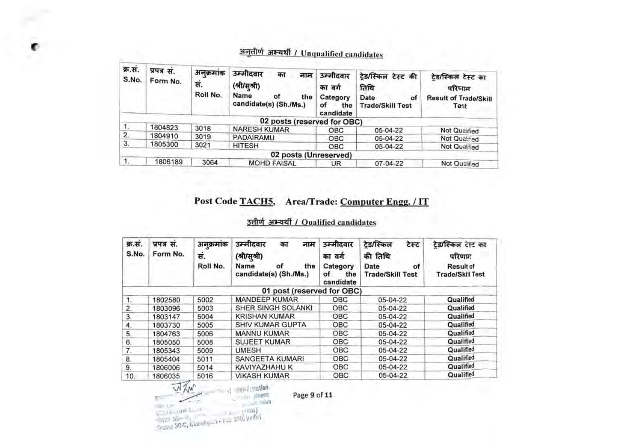| क्र.स.<br>S.No. | प्रपत्र सं.<br>Form No. | अनुक्रमांक<br>स.<br>Roll No. | उम्मीदवार<br>का<br>नाम<br>(श्री/सूश्री)<br>Name<br>οf<br>the<br>candidate(s) (Sh./Ms.) | उम्मीदवार<br>का वर्ग<br>Category<br>οf<br>the<br>candidate | टेड/स्किल टेस्ट की<br>तिथि<br>Date<br>of<br><b>Trade/Skill Test</b> | टेड/स्किल टेस्ट का<br>परिणाम<br><b>Result of Trade/Skill</b><br>Test |
|-----------------|-------------------------|------------------------------|----------------------------------------------------------------------------------------|------------------------------------------------------------|---------------------------------------------------------------------|----------------------------------------------------------------------|
|                 |                         |                              | 02 posts (reserved for OBC)                                                            |                                                            |                                                                     |                                                                      |
| $\mathbf{1}$    | 1804823                 | 3018                         | <b>NARESH KUMAR</b>                                                                    | OBC                                                        | 05-04-22                                                            | Not Qualified                                                        |
| 2.              | 1804910                 | 3019                         | <b>PADAIRAMU</b>                                                                       | OBC                                                        | 05-04-22                                                            | Not Qualified                                                        |
| 3.              | 1805300                 | 3021                         | <b>HITESH</b>                                                                          | <b>OBC</b>                                                 | 05-04-22                                                            | Not Qualified                                                        |
|                 |                         |                              | 02 posts (Unreserved)                                                                  |                                                            |                                                                     |                                                                      |
|                 | 1806189                 | 3064                         | <b>MOHD FAISAL</b>                                                                     | UR                                                         | $07 - 04 - 22$                                                      | Not Qualified                                                        |

# अनृतीर्ण अभ्यर्थी / Unqualified candidates

### Post Code TACH5, Area/Trade: Computer Engg. / IT

### उतीर्ण अभ्यर्थी / Qualified candidates

| क्र.स.<br>S.No. | प्रपत्र स.<br>Form No. | अनक्रमाक<br>स.<br>Roll No. | उम्मीदवार<br>का<br>नाम<br>(श्री/सुश्री)<br>Name<br>of<br>the<br>candidate(s) (Sh./Ms.) | उम्मीदवार<br>का वर्ग<br>Category<br>οf<br>the<br>candidate | टेड/स्किल<br>टेस्ट<br>की तिथि<br>Date<br>of<br><b>Trade/Skill Test</b> | टेड/स्किल टेस्ट का<br>परिणाम<br>Result of<br><b>Trade/Skill Test</b> |
|-----------------|------------------------|----------------------------|----------------------------------------------------------------------------------------|------------------------------------------------------------|------------------------------------------------------------------------|----------------------------------------------------------------------|
|                 |                        |                            | 01 post (reserved for OBC)                                                             |                                                            |                                                                        |                                                                      |
|                 | 1802580                | 5002                       | <b>MANDEEP KUMAR</b>                                                                   | OBC                                                        | 05-04-22                                                               | Qualified                                                            |
| $\overline{2}$  | 1803096                | 5003                       | SHER SINGH SOLANKI                                                                     | OBC                                                        | 05-04-22                                                               | Qualified                                                            |
| 3.              | 1803147                | 5004                       | <b>KRISHAN KUMAR</b>                                                                   | OBC                                                        | 05-04-22                                                               | Qualified                                                            |
| 4.              | 1803730                | 5005                       | <b>SHIV KUMAR GUPTA</b>                                                                | OBC                                                        | 05-04-22                                                               | Qualified                                                            |
| 5.              | 1804763                | 5006                       | MANNU KUMAR                                                                            | OBC-                                                       | 05-04-22                                                               | Qualified                                                            |
| 6.              | 1805050                | 5008                       | <b>SUJEET KUMAR</b>                                                                    | OBC                                                        | 05-04-22                                                               | Qualified                                                            |
| 7.              | 1805343                | 5009                       | <b>UMESH</b>                                                                           | <b>OBC</b>                                                 | 05-04-22                                                               | Qualified                                                            |
| 8.              | 1805404                | 5011                       | SANGEETA KUMARI                                                                        | OBC                                                        | 05-04-22                                                               | Qualified                                                            |
| 9.              | 1806006                | 5014                       | KAVIYAZHAHU K                                                                          | OBC                                                        | 05-04-22                                                               | Qualified                                                            |
| 10.             | 1806035                | 5016                       | <b>VIKASH KUMAR</b>                                                                    | OBC                                                        | 05-04-22                                                               | Qualified                                                            |

**//**  $\frac{M}{N}$  ...  $\frac{M}{N}$  ... **...** ... **...** ... **... Page 9 of 11**<br> **1** ... **... ... ... ... ... ... ... ... ... ... ... ... ... ... ... ... ... ... ... ... ... ... ...**

 $\bullet$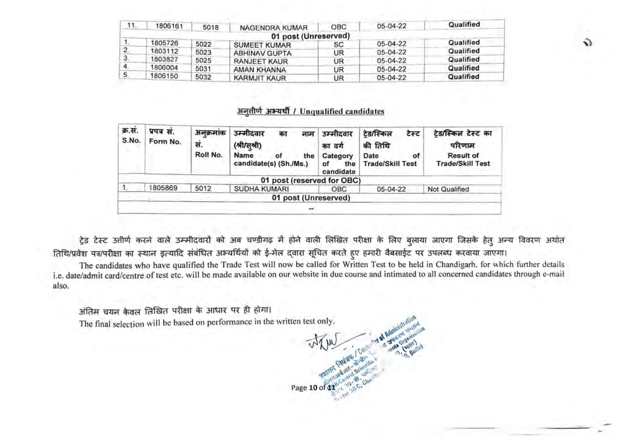| 11. | 1806161 | 5018 | NAGENDRA KUMAR       | <b>OBC</b> | $05 - 04 - 22$ | Qualified |
|-----|---------|------|----------------------|------------|----------------|-----------|
|     |         |      | 01 post (Unreserved) |            |                |           |
|     | 1805726 | 5022 | <b>SUMEET KUMAR</b>  | SC         | 05-04-22       | Qualified |
|     | 1803112 | 5023 | <b>ABHINAV GUPTA</b> | UR         | $05-04-22$     | Qualified |
|     | 1803827 | 5025 | <b>RANJEET KAUR</b>  | UR         | $05-04-22$     | Qualified |
|     | 1806004 | 5031 | AMAN KHANNA          | UR         | 05-04-22       | Qualified |
| 5.  | 1806150 | 5032 | <b>KARMJIT KAUR</b>  | UR         | 05-04-22       | Qualified |

 $\ddot{\mathbf{v}}$ 

#### अनतीर्ण अभ्यर्थी / Unqualified candidates

| क्र.स.<br>S.No. | प्रपत्र सं.<br>Form No. | अनक्रमांक<br>स.<br>Roll No. | उम्मीदवार<br>का<br>नाम<br>(श्री/सूश्री)<br>Name<br>the<br>οf<br>candidate(s) (Sh./Ms.) | उम्मीदवार<br>का वर्ग<br>Category<br>the<br>οf<br>candidate | टेड/स्किल<br>टेस्ट<br>की तिथि<br>οf<br>Date<br><b>Trade/Skill Test</b> | टेड/स्किल टेस्ट का<br>परिणाम<br><b>Result of</b><br><b>Trade/Skill Test</b> |
|-----------------|-------------------------|-----------------------------|----------------------------------------------------------------------------------------|------------------------------------------------------------|------------------------------------------------------------------------|-----------------------------------------------------------------------------|
|                 |                         |                             | 01 post (reserved for OBC)                                                             |                                                            |                                                                        |                                                                             |
|                 | 1805869                 | 5012                        | <b>SUDHA KUMARI</b>                                                                    | OBC.                                                       | 05-04-22                                                               | Not Qualified                                                               |
|                 |                         |                             | 01 post (Unreserved)                                                                   |                                                            |                                                                        |                                                                             |

ट्रेड टेस्ट उतीर्ण करने वाले उम्मीदवारों को अब चण्डीगढ़ में होने वाली लिखित परीक्षा के लिए बुलाया जाएगा जिसके हेत् अन्य विवरण अर्थात तिथि/प्रवेश पत्र/परीक्षा का स्थान इत्यादि संबंधित अभ्यर्थियों को ई-मेल दवारा सूचित करते हुए हमारी वैबसाईट पर उपलब्ध करवाया जाएगा।

The candidates who have qualified the Trade Test will now be called for Written Test to be held in Chandigarh, for which further details i.e. date/admit card/centre oftest etc. will be made available on our website in due course and intimated to all concerned candidates through e-mail also.

अंतिम चयन केवल लिखित परीक्षा के आधार पर ही होगा। The final selection will be based on performance in the written test only.